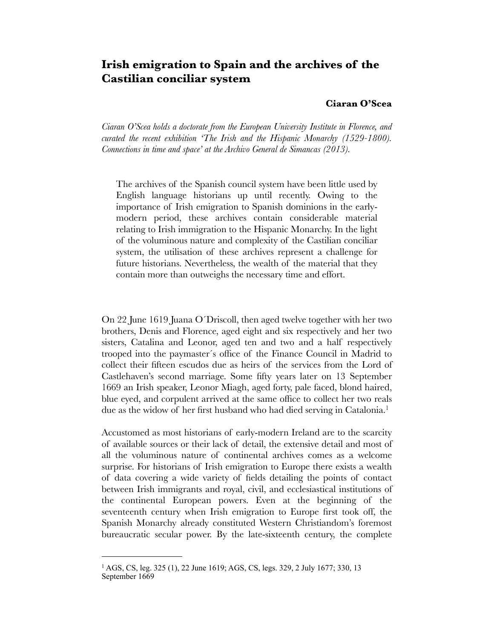# **Irish emigration to Spain and the archives of the Castilian conciliar system**

#### **Ciaran O'Scea**

*Ciaran O'Scea holds a doctorate from the European University Institute in Florence, and curated the recent exhibition 'The Irish and the Hispanic Monarchy (1529-1800). Connections in time and space' at the Archivo General de Simancas (2013).*

The archives of the Spanish council system have been little used by English language historians up until recently. Owing to the importance of Irish emigration to Spanish dominions in the earlymodern period, these archives contain considerable material relating to Irish immigration to the Hispanic Monarchy. In the light of the voluminous nature and complexity of the Castilian conciliar system, the utilisation of these archives represent a challenge for future historians. Nevertheless, the wealth of the material that they contain more than outweighs the necessary time and effort.

On 22 June 1619 Juana O´Driscoll, then aged twelve together with her two brothers, Denis and Florence, aged eight and six respectively and her two sisters, Catalina and Leonor, aged ten and two and a half respectively trooped into the paymaster´s office of the Finance Council in Madrid to collect their fifteen escudos due as heirs of the services from the Lord of Castlehaven's second marriage. Some fifty years later on 13 September 1669 an Irish speaker, Leonor Miagh, aged forty, pale faced, blond haired, blue eyed, and corpulent arrived at the same office to collect her two reals due as the widow of her first husband who had died serving in Catalonia.<sup>1</sup>

Accustomed as most historians of early-modern Ireland are to the scarcity of available sources or their lack of detail, the extensive detail and most of all the voluminous nature of continental archives comes as a welcome surprise. For historians of Irish emigration to Europe there exists a wealth of data covering a wide variety of fields detailing the points of contact between Irish immigrants and royal, civil, and ecclesiastical institutions of the continental European powers. Even at the beginning of the seventeenth century when Irish emigration to Europe first took off, the Spanish Monarchy already constituted Western Christiandom's foremost bureaucratic secular power. By the late-sixteenth century, the complete

<span id="page-0-0"></span><sup>1</sup> AGS, CS, leg. 325 (1), 22 June 1619; AGS, CS, legs. 329, 2 July 1677; 330, 13 September 1669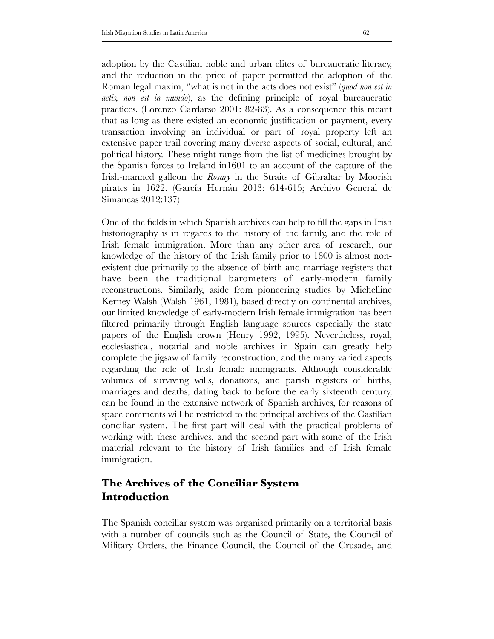adoption by the Castilian noble and urban elites of bureaucratic literacy, and the reduction in the price of paper permitted the adoption of the Roman legal maxim, "what is not in the acts does not exist" (*quod non est in actis, non est in mundo*), as the defining principle of royal bureaucratic practices. (Lorenzo Cardarso 2001: 82-83). As a consequence this meant that as long as there existed an economic justification or payment, every transaction involving an individual or part of royal property left an extensive paper trail covering many diverse aspects of social, cultural, and political history. These might range from the list of medicines brought by the Spanish forces to Ireland in1601 to an account of the capture of the Irish-manned galleon the *Rosary* in the Straits of Gibraltar by Moorish pirates in 1622. (García Hernán 2013: 614-615; Archivo General de Simancas 2012:137)

One of the fields in which Spanish archives can help to fill the gaps in Irish historiography is in regards to the history of the family, and the role of Irish female immigration. More than any other area of research, our knowledge of the history of the Irish family prior to 1800 is almost nonexistent due primarily to the absence of birth and marriage registers that have been the traditional barometers of early-modern family reconstructions. Similarly, aside from pioneering studies by Michelline Kerney Walsh (Walsh 1961, 1981), based directly on continental archives, our limited knowledge of early-modern Irish female immigration has been filtered primarily through English language sources especially the state papers of the English crown (Henry 1992, 1995). Nevertheless, royal, ecclesiastical, notarial and noble archives in Spain can greatly help complete the jigsaw of family reconstruction, and the many varied aspects regarding the role of Irish female immigrants. Although considerable volumes of surviving wills, donations, and parish registers of births, marriages and deaths, dating back to before the early sixteenth century, can be found in the extensive network of Spanish archives, for reasons of space comments will be restricted to the principal archives of the Castilian conciliar system. The first part will deal with the practical problems of working with these archives, and the second part with some of the Irish material relevant to the history of Irish families and of Irish female immigration.

# **The Archives of the Conciliar System Introduction**

The Spanish conciliar system was organised primarily on a territorial basis with a number of councils such as the Council of State, the Council of Military Orders, the Finance Council, the Council of the Crusade, and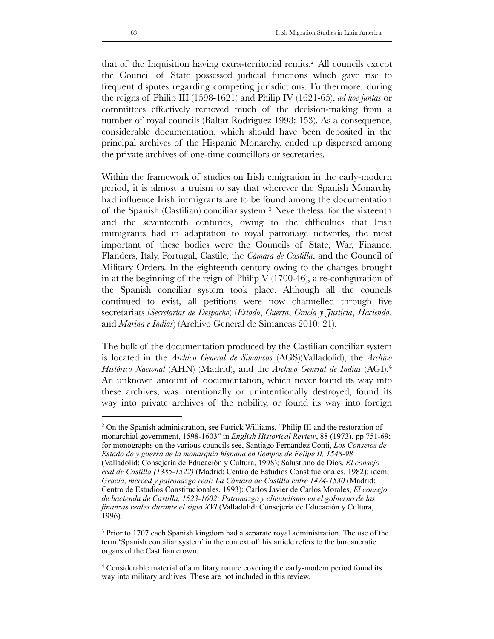that of the Inquisition having extra-territorial remits[.2](#page-2-0) All councils except the Council of State possessed judicial functions which gave rise to frequent disputes regarding competing jurisdictions. Furthermore, during the reigns of Philip III (1598-1621) and Philip IV (1621-65), *ad hoc juntas* or committees effectively removed much of the decision-making from a number of royal councils (Baltar Rodríguez 1998: 153). As a consequence, considerable documentation, which should have been deposited in the principal archives of the Hispanic Monarchy, ended up dispersed among the private archives of one-time councillors or secretaries.

Within the framework of studies on Irish emigration in the early-modern period, it is almost a truism to say that wherever the Spanish Monarchy had influence Irish immigrants are to be found among the documentation of the Spanish (Castilian) conciliar system.[3](#page-2-1) Nevertheless, for the sixteenth and the seventeenth centuries, owing to the difficulties that Irish immigrants had in adaptation to royal patronage networks, the most important of these bodies were the Councils of State, War, Finance, Flanders, Italy, Portugal, Castile, the *Cámara de Castilla*, and the Council of Military Orders. In the eighteenth century owing to the changes brought in at the beginning of the reign of Philip  $V(1700-46)$ , a re-configuration of the Spanish conciliar system took place. Although all the councils continued to exist, all petitions were now channelled through five secretariats (*Secretarías de Despacho*) (*Estado*, *Guerra*, *Gracia y Justicia*, *Hacienda*, and *Marina e Indias*) (Archivo General de Simancas 2010: 21).

The bulk of the documentation produced by the Castilian conciliar system is located in the *Archivo General de Simancas* (AGS)(Valladolid), the *Archivo Histórico Nacional* (AHN) (Madrid), and the *Archivo General de Indias* (AGI).[4](#page-2-2) An unknown amount of documentation, which never found its way into these archives, was intentionally or unintentionally destroyed, found its way into private archives of the nobility, or found its way into foreign

<span id="page-2-0"></span><sup>2</sup> On the Spanish administration, see Patrick Williams, "Philip III and the restoration of monarchial government, 1598-1603" in *English Historical Review*, 88 (1973), pp 751-69; for monographs on the various councils see, Santiago Fernández Conti, *Los Consejos de Estado de y guerra de la monarquía hispana en tiempos de Felipe II, 1548-98* (Valladolid: Consejería de Educación y Cultura, 1998); Salustiano de Dios, *El consejo real de Castilla (1385-1522)* (Madrid: Centro de Estudios Constitucionales, 1982); idem, *Gracia, merced y patronazgo real: La Cámara de Castilla entre 1474-1530* (Madrid: Centro de Estudios Constitucionales, 1993); Carlos Javier de Carlos Morales, *El consejo de hacienda de Castilla, 1523-1602: Patronazgo y clientelismo en el gobierno de las finanzas reales durante el siglo XVI* (Valladolid: Consejería de Educación y Cultura, 1996).

<span id="page-2-1"></span><sup>3</sup> Prior to 1707 each Spanish kingdom had a separate royal administration. The use of the term 'Spanish conciliar system' in the context of this article refers to the bureaucratic organs of the Castilian crown.

<span id="page-2-2"></span><sup>4</sup> Considerable material of a military nature covering the early-modern period found its way into military archives. These are not included in this review.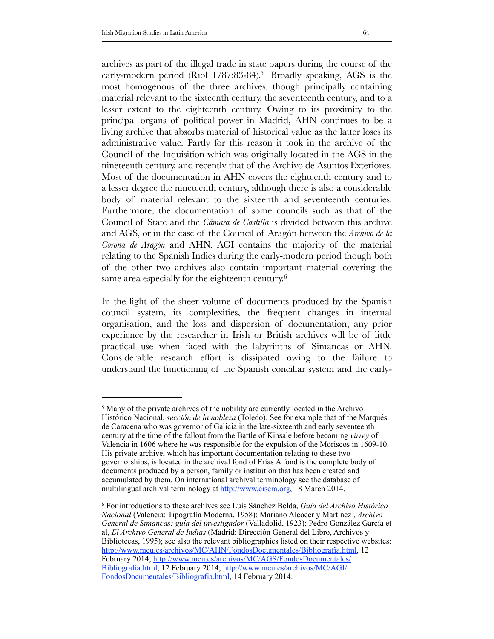archives as part of the illegal trade in state papers during the course of the early-modern period (Riol 1787:83-84).<sup>5</sup> Broadly speaking, AGS is the most homogenous of the three archives, though principally containing material relevant to the sixteenth century, the seventeenth century, and to a lesser extent to the eighteenth century. Owing to its proximity to the principal organs of political power in Madrid, AHN continues to be a living archive that absorbs material of historical value as the latter loses its administrative value. Partly for this reason it took in the archive of the Council of the Inquisition which was originally located in the AGS in the nineteenth century, and recently that of the Archivo de Asuntos Exteriores. Most of the documentation in AHN covers the eighteenth century and to a lesser degree the nineteenth century, although there is also a considerable body of material relevant to the sixteenth and seventeenth centuries. Furthermore, the documentation of some councils such as that of the Council of State and the *Cámara de Castilla* is divided between this archive and AGS, or in the case of the Council of Aragón between the *Archivo de la Corona de Aragón* and AHN. AGI contains the majority of the material relating to the Spanish Indies during the early-modern period though both of the other two archives also contain important material covering the same area especially for the eighteenth century.<sup>6</sup>

In the light of the sheer volume of documents produced by the Spanish council system, its complexities, the frequent changes in internal organisation, and the loss and dispersion of documentation, any prior experience by the researcher in Irish or British archives will be of little practical use when faced with the labyrinths of Simancas or AHN. Considerable research effort is dissipated owing to the failure to understand the functioning of the Spanish conciliar system and the early-

<span id="page-3-0"></span><sup>5</sup> Many of the private archives of the nobility are currently located in the Archivo Histórico Nacional, *sección de la nobleza* (Toledo). See for example that of the Marqués de Caracena who was governor of Galicia in the late-sixteenth and early seventeenth century at the time of the fallout from the Battle of Kinsale before becoming *virrey* of Valencia in 1606 where he was responsible for the expulsion of the Moriscos in 1609-10. His private archive, which has important documentation relating to these two governorships, is located in the archival fond of Frías A fond is the complete body of documents produced by a person, family or institution that has been created and accumulated by them. On international archival terminology see the database of multilingual archival terminology at [http://www.ciscra.org,](http://www.ciscra.org) 18 March 2014.

<span id="page-3-1"></span><sup>6</sup> For introductions to these archives see Luis Sánchez Belda, *Guía del Archivo Histórico Nacional* (Valencia: Tipografía Moderna, 1958); Mariano Alcocer y Martínez , *Archivo General de Simancas: guía del investigador* (Valladolid, 1923); Pedro González García et al, *El Archivo General de Indias* (Madrid: Dirección General del Libro, Archivos y Bibliotecas, 1995); see also the relevant bibliographies listed on their respective websites: [http://www.mcu.es/archivos/MC/AHN/FondosDocumentales/Bibliografia.html](http://www.mcu.es/archivos/mc/ahn/fondosdocumentales/bibliografia.html), 12 February 2014; [http://www.mcu.es/archivos/MC/AGS/FondosDocumentales/](http://www.mcu.es/archivos/mc/ags/fondosdocumentales/bibliografia.html) [Bibliografia.html](http://www.mcu.es/archivos/mc/ags/fondosdocumentales/bibliografia.html), 12 February 2014; [http://www.mcu.es/archivos/MC/AGI/](http://www.mcu.es/archivos/mc/agi/fondosdocumentales/bibliografia.html) [FondosDocumentales/Bibliografia.html,](http://www.mcu.es/archivos/mc/agi/fondosdocumentales/bibliografia.html) 14 February 2014.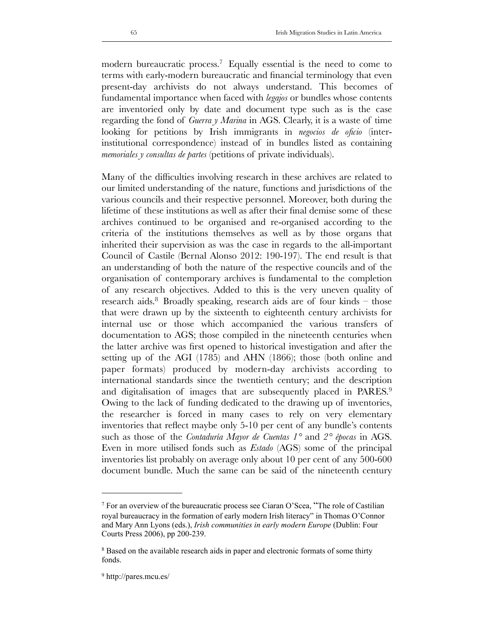modern bureaucratic process.<sup>7</sup> Equally essential is the need to come to terms with early-modern bureaucratic and financial terminology that even present-day archivists do not always understand. This becomes of fundamental importance when faced with *legajos* or bundles whose contents are inventoried only by date and document type such as is the case regarding the fond of *Guerra y Marina* in AGS. Clearly, it is a waste of time looking for petitions by Irish immigrants in *negocios de oficio* (interinstitutional correspondence) instead of in bundles listed as containing *memoriales y consultas de partes* (petitions of private individuals).

Many of the difficulties involving research in these archives are related to our limited understanding of the nature, functions and jurisdictions of the various councils and their respective personnel. Moreover, both during the lifetime of these institutions as well as after their final demise some of these archives continued to be organised and re-organised according to the criteria of the institutions themselves as well as by those organs that inherited their supervision as was the case in regards to the all-important Council of Castile (Bernal Alonso 2012: 190-197). The end result is that an understanding of both the nature of the respective councils and of the organisation of contemporary archives is fundamental to the completion of any research objectives. Added to this is the very uneven quality of research aids.<sup>8</sup> Broadly speaking, research aids are of four kinds  $-$  those that were drawn up by the sixteenth to eighteenth century archivists for internal use or those which accompanied the various transfers of documentation to AGS; those compiled in the nineteenth centuries when the latter archive was first opened to historical investigation and after the setting up of the AGI (1785) and AHN (1866); those (both online and paper formats) produced by modern-day archivists according to international standards since the twentieth century; and the description and digitalisation of images that are subsequently placed in PARES.<sup>[9](#page-4-2)</sup> Owing to the lack of funding dedicated to the drawing up of inventories, the researcher is forced in many cases to rely on very elementary inventories that reflect maybe only 5-10 per cent of any bundle's contents such as those of the *Contaduría Mayor de Cuentas 1°* and *2° épocas* in AGS. Even in more utilised fonds such as *Estado* (AGS) some of the principal inventories list probably on average only about 10 per cent of any 500-600 document bundle. Much the same can be said of the nineteenth century

<span id="page-4-0"></span><sup>7</sup> For an overview of the bureaucratic process see Ciaran O'Scea, "The role of Castilian royal bureaucracy in the formation of early modern Irish literacy" in Thomas O'Connor and Mary Ann Lyons (eds.), *Irish communities in early modern Europe* (Dublin: Four Courts Press 2006), pp 200-239.

<span id="page-4-1"></span><sup>8</sup> Based on the available research aids in paper and electronic formats of some thirty fonds.

<span id="page-4-2"></span><sup>9</sup> http://pares.mcu.es/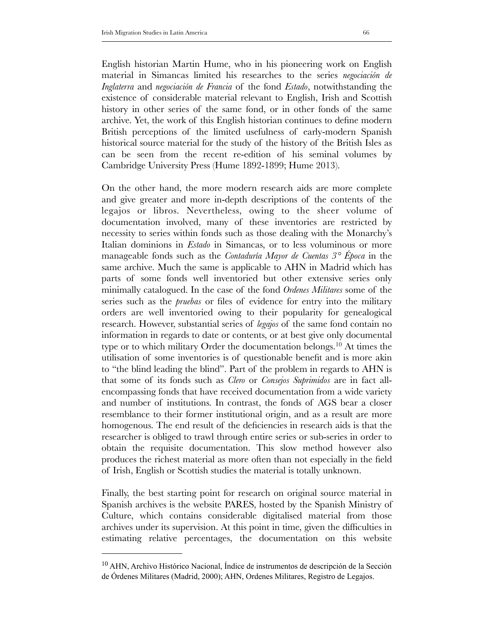English historian Martin Hume, who in his pioneering work on English material in Simancas limited his researches to the series *negociación de Inglaterra* and *negociación de Francia* of the fond *Estado*, notwithstanding the existence of considerable material relevant to English, Irish and Scottish history in other series of the same fond, or in other fonds of the same archive. Yet, the work of this English historian continues to define modern British perceptions of the limited usefulness of early-modern Spanish historical source material for the study of the history of the British Isles as can be seen from the recent re-edition of his seminal volumes by Cambridge University Press (Hume 1892-1899; Hume 2013).

On the other hand, the more modern research aids are more complete and give greater and more in-depth descriptions of the contents of the legajos or libros. Nevertheless, owing to the sheer volume of documentation involved, many of these inventories are restricted by necessity to series within fonds such as those dealing with the Monarchy's Italian dominions in *Estado* in Simancas, or to less voluminous or more manageable fonds such as the *Contaduría Mayor de Cuentas 3° Época* in the same archive. Much the same is applicable to AHN in Madrid which has parts of some fonds well inventoried but other extensive series only minimally catalogued. In the case of the fond *Ordenes Militares* some of the series such as the *pruebas* or files of evidence for entry into the military orders are well inventoried owing to their popularity for genealogical research. However, substantial series of *legajos* of the same fond contain no information in regards to date or contents, or at best give only documental type or to which military Order the documentation belongs.<sup>[10](#page-5-0)</sup> At times the utilisation of some inventories is of questionable benefit and is more akin to "the blind leading the blind". Part of the problem in regards to AHN is that some of its fonds such as *Clero* or *Consejos Suprimidos* are in fact allencompassing fonds that have received documentation from a wide variety and number of institutions. In contrast, the fonds of AGS bear a closer resemblance to their former institutional origin, and as a result are more homogenous. The end result of the deficiencies in research aids is that the researcher is obliged to trawl through entire series or sub-series in order to obtain the requisite documentation. This slow method however also produces the richest material as more often than not especially in the field of Irish, English or Scottish studies the material is totally unknown.

Finally, the best starting point for research on original source material in Spanish archives is the website PARES, hosted by the Spanish Ministry of Culture, which contains considerable digitalised material from those archives under its supervision. At this point in time, given the difficulties in estimating relative percentages, the documentation on this website

<span id="page-5-0"></span><sup>&</sup>lt;sup>10</sup> AHN, Archivo Histórico Nacional, Índice de instrumentos de descripción de la Sección de Órdenes Militares (Madrid, 2000); AHN, Ordenes Militares, Registro de Legajos.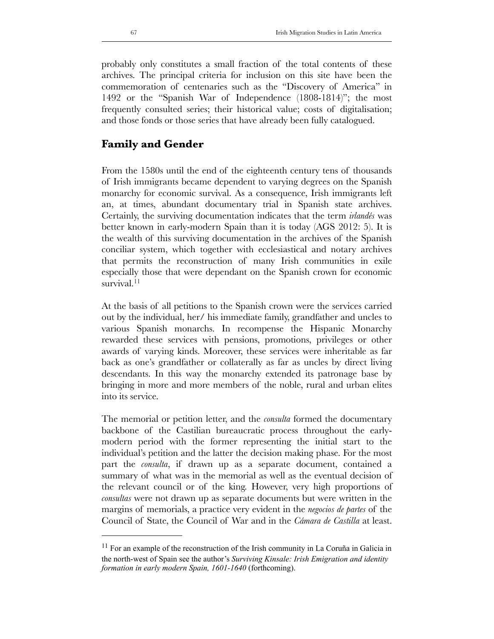probably only constitutes a small fraction of the total contents of these archives. The principal criteria for inclusion on this site have been the commemoration of centenaries such as the "Discovery of America" in 1492 or the "Spanish War of Independence (1808-1814)"; the most frequently consulted series; their historical value; costs of digitalisation; and those fonds or those series that have already been fully catalogued.

#### **Family and Gender**

From the 1580s until the end of the eighteenth century tens of thousands of Irish immigrants became dependent to varying degrees on the Spanish monarchy for economic survival. As a consequence, Irish immigrants left an, at times, abundant documentary trial in Spanish state archives. Certainly, the surviving documentation indicates that the term *irlandés* was better known in early-modern Spain than it is today (AGS 2012: 5). It is the wealth of this surviving documentation in the archives of the Spanish conciliar system, which together with ecclesiastical and notary archives that permits the reconstruction of many Irish communities in exile especially those that were dependant on the Spanish crown for economic survival.<sup>[11](#page-6-0)</sup>

At the basis of all petitions to the Spanish crown were the services carried out by the individual, her/ his immediate family, grandfather and uncles to various Spanish monarchs. In recompense the Hispanic Monarchy rewarded these services with pensions, promotions, privileges or other awards of varying kinds. Moreover, these services were inheritable as far back as one's grandfather or collaterally as far as uncles by direct living descendants. In this way the monarchy extended its patronage base by bringing in more and more members of the noble, rural and urban elites into its service.

The memorial or petition letter, and the *consulta* formed the documentary backbone of the Castilian bureaucratic process throughout the earlymodern period with the former representing the initial start to the individual's petition and the latter the decision making phase. For the most part the *consulta*, if drawn up as a separate document, contained a summary of what was in the memorial as well as the eventual decision of the relevant council or of the king. However, very high proportions of *consultas* were not drawn up as separate documents but were written in the margins of memorials, a practice very evident in the *negocios de partes* of the Council of State, the Council of War and in the *Cámara de Castilla* at least.

<span id="page-6-0"></span><sup>11</sup> For an example of the reconstruction of the Irish community in La Coruña in Galicia in the north-west of Spain see the author's *Surviving Kinsale: Irish Emigration and identity formation in early modern Spain, 1601-1640* (forthcoming).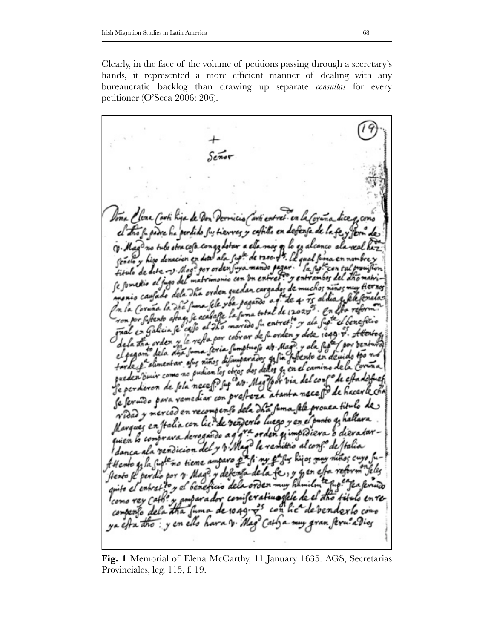Clearly, in the face of the volume of petitions passing through a secretary's hands, it represented a more efficient manner of dealing with any bureaucratic backlog than drawing up separate *consultas* for every petitioner (O'Scea 2006: 206).

Doña Plena Carti Kija de Don comicio (avti catret en la Cos idre he perdido fu tierraz y cafillo en defenja de la fi (v. Mago no tulo stra cosa congo dotor a ala mag o lo go alcanco Señalo y hizo donacion en deal ala sup<sup>ta</sup> de 1200 fr. le qual suma fitulo de dote v. Mog? por orden sura mando pagar. fitulo de dote -v. Mog. por oracio con un entre fre y entram<br>Se fomedio al fugo del matrimonio con un entre fre y entram etio al fugo del marvimono cuedan cargados de muchos niños mi monio caufado dela Ina orden guerran curgundo e T. de 4 Ts aldia q fele fer<br>In la Coruña la Ina fuma fele y ba pagaña a g. de 4 Ts aldia q fele fer m la Coruña la dra fuma fele you pagantotal de 1200.05°. En<br>ron por fuftento aftage se acadage la fuma total de 1200.05°. En ron por suftento aftag se acabasse la suma corne au sur la sup<sup>te</sup> el beneficio<br>paal en Galicia se cello al 2Ko marrido su entret, <sup>la</sup> y als sup<sup>te</sup> el beneficio mal en Galicia se caso al 2ho marios su envior y dote 1049. V. Attento<br>de la tha order y le refla por cobrar de su orden y dote 1049. V. Attento de la tha order y le resta por coorar en Mage. y ala superfect por pent el pegame dela disa suma seria sumparados qui sus peserto en deuido tro n.<br>tarde e alimentar asus niños disamparados qui sus peserto en deuido tro n. tarde pa alimentar afur niños difamparados que n el camino de la coruña<br>queden binir como no pudian los obros dos dellas q, en el camino de la coruña queden divier como no puedan los viars. Mag /por via del conf de estadosfu<br>Je perdieron de fola nace fi sup<sup>ci</sup>avo. Mag /por via del conf de hacerles. Je perdieron de fola necessi sup avait a camba macasto de hacerle ch<br>Se fermoso para vamediar con prafteza atanta macasto de hacerle ch se servido para vemeaiar con sela da fima sele prouea titulo de vidad y merces en recompensation luego y en el punto y hallara Marques en Italia con les de vergents une y impidieva o dievatarquien lo comprava nero del y v. Mag le remittio al conf.º de Jtalia Attento gala suplemo tiene amparo parti my pagis hijos may Hento & perdio por v. Mag? y defensa de la fe, y y en esta refo quite el entret to y el beneficio dela orden muy hamilm como vey cathe y amparador, comiferativaglele de el dhó til companto dela tha fuma de 1049. es con lic de bena ya efra tho: y en ello hava v. Mag Catha muy gran feru a Vior

**Fig. 1** Memorial of Elena McCarthy, 11 January 1635. AGS, Secretarias Provinciales, leg. 115, f. 19.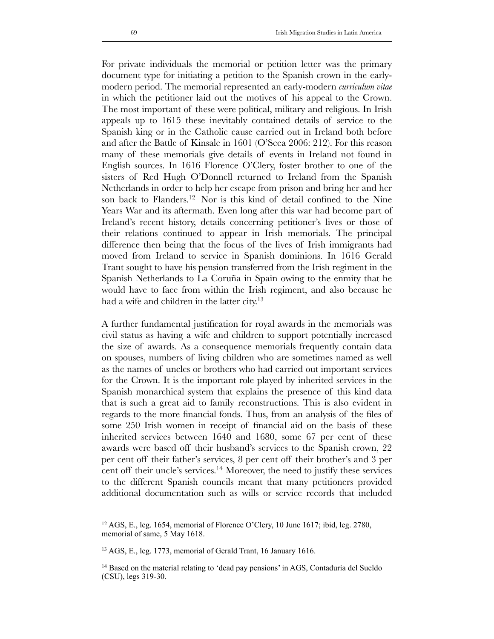For private individuals the memorial or petition letter was the primary document type for initiating a petition to the Spanish crown in the earlymodern period. The memorial represented an early-modern *curriculum vitae* in which the petitioner laid out the motives of his appeal to the Crown. The most important of these were political, military and religious. In Irish appeals up to 1615 these inevitably contained details of service to the Spanish king or in the Catholic cause carried out in Ireland both before and after the Battle of Kinsale in 1601 (O'Scea 2006: 212). For this reason many of these memorials give details of events in Ireland not found in English sources. In 1616 Florence O'Clery, foster brother to one of the sisters of Red Hugh O'Donnell returned to Ireland from the Spanish Netherlands in order to help her escape from prison and bring her and her son back to Flanders[.12](#page-8-0) Nor is this kind of detail confined to the Nine Years War and its aftermath. Even long after this war had become part of Ireland's recent history, details concerning petitioner's lives or those of their relations continued to appear in Irish memorials. The principal difference then being that the focus of the lives of Irish immigrants had moved from Ireland to service in Spanish dominions. In 1616 Gerald Trant sought to have his pension transferred from the Irish regiment in the Spanish Netherlands to La Coruña in Spain owing to the enmity that he would have to face from within the Irish regiment, and also because he had a wife and children in the latter city.<sup>13</sup>

A further fundamental justification for royal awards in the memorials was civil status as having a wife and children to support potentially increased the size of awards. As a consequence memorials frequently contain data on spouses, numbers of living children who are sometimes named as well as the names of uncles or brothers who had carried out important services for the Crown. It is the important role played by inherited services in the Spanish monarchical system that explains the presence of this kind data that is such a great aid to family reconstructions. This is also evident in regards to the more financial fonds. Thus, from an analysis of the files of some 250 Irish women in receipt of financial aid on the basis of these inherited services between 1640 and 1680, some 67 per cent of these awards were based off their husband's services to the Spanish crown, 22 per cent off their father's services, 8 per cent off their brother's and 3 per cent off their uncle's services[.14](#page-8-2) Moreover, the need to justify these services to the different Spanish councils meant that many petitioners provided additional documentation such as wills or service records that included

<span id="page-8-0"></span><sup>12</sup> AGS, E., leg. 1654, memorial of Florence O'Clery, 10 June 1617; ibid, leg. 2780, memorial of same, 5 May 1618.

<span id="page-8-1"></span><sup>13</sup> AGS, E., leg. 1773, memorial of Gerald Trant, 16 January 1616.

<span id="page-8-2"></span><sup>&</sup>lt;sup>14</sup> Based on the material relating to 'dead pay pensions' in AGS, Contaduría del Sueldo (CSU), legs 319-30.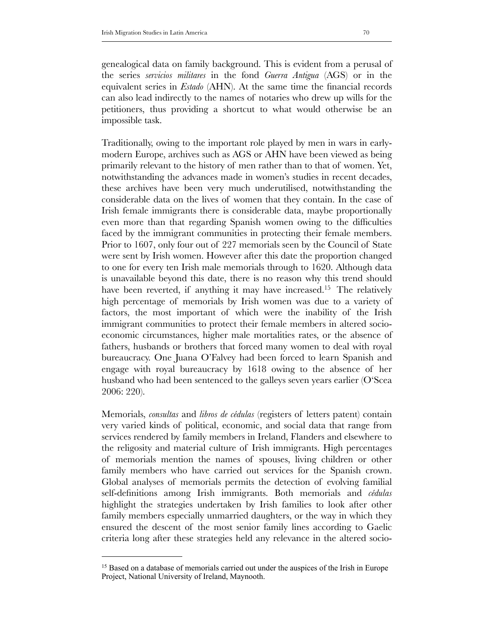genealogical data on family background. This is evident from a perusal of the series *servicios militares* in the fond *Guerra Antigua* (AGS) or in the equivalent series in *Estado* (AHN). At the same time the financial records can also lead indirectly to the names of notaries who drew up wills for the petitioners, thus providing a shortcut to what would otherwise be an impossible task.

Traditionally, owing to the important role played by men in wars in earlymodern Europe, archives such as AGS or AHN have been viewed as being primarily relevant to the history of men rather than to that of women. Yet, notwithstanding the advances made in women's studies in recent decades, these archives have been very much underutilised, notwithstanding the considerable data on the lives of women that they contain. In the case of Irish female immigrants there is considerable data, maybe proportionally even more than that regarding Spanish women owing to the difficulties faced by the immigrant communities in protecting their female members. Prior to 1607, only four out of 227 memorials seen by the Council of State were sent by Irish women. However after this date the proportion changed to one for every ten Irish male memorials through to 1620. Although data is unavailable beyond this date, there is no reason why this trend should have been reverted, if anything it may have increased.<sup>15</sup> The relatively high percentage of memorials by Irish women was due to a variety of factors, the most important of which were the inability of the Irish immigrant communities to protect their female members in altered socioeconomic circumstances, higher male mortalities rates, or the absence of fathers, husbands or brothers that forced many women to deal with royal bureaucracy. One Juana O'Falvey had been forced to learn Spanish and engage with royal bureaucracy by 1618 owing to the absence of her husband who had been sentenced to the galleys seven years earlier (O'Scea 2006: 220).

Memorials, *consultas* and *libros de cédulas* (registers of letters patent) contain very varied kinds of political, economic, and social data that range from services rendered by family members in Ireland, Flanders and elsewhere to the religosity and material culture of Irish immigrants. High percentages of memorials mention the names of spouses, living children or other family members who have carried out services for the Spanish crown. Global analyses of memorials permits the detection of evolving familial self-definitions among Irish immigrants. Both memorials and *cédulas* highlight the strategies undertaken by Irish families to look after other family members especially unmarried daughters, or the way in which they ensured the descent of the most senior family lines according to Gaelic criteria long after these strategies held any relevance in the altered socio-

<span id="page-9-0"></span><sup>&</sup>lt;sup>15</sup> Based on a database of memorials carried out under the auspices of the Irish in Europe Project, National University of Ireland, Maynooth.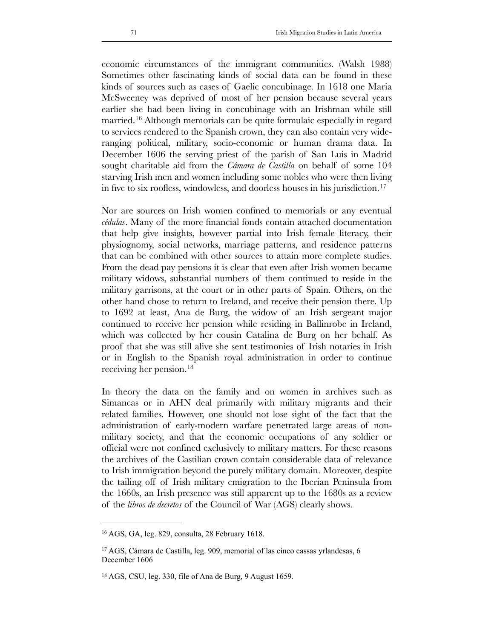economic circumstances of the immigrant communities. (Walsh 1988) Sometimes other fascinating kinds of social data can be found in these kinds of sources such as cases of Gaelic concubinage. In 1618 one Maria McSweeney was deprived of most of her pension because several years earlier she had been living in concubinage with an Irishman while still married.<sup>[16](#page-10-0)</sup> Although memorials can be quite formulaic especially in regard to services rendered to the Spanish crown, they can also contain very wideranging political, military, socio-economic or human drama data. In December 1606 the serving priest of the parish of San Luis in Madrid sought charitable aid from the *Cámara de Castilla* on behalf of some 104 starving Irish men and women including some nobles who were then living in five to six roofless, windowless, and doorless houses in his jurisdiction.[17](#page-10-1)

Nor are sources on Irish women confined to memorials or any eventual *cédulas*. Many of the more financial fonds contain attached documentation that help give insights, however partial into Irish female literacy, their physiognomy, social networks, marriage patterns, and residence patterns that can be combined with other sources to attain more complete studies. From the dead pay pensions it is clear that even after Irish women became military widows, substantial numbers of them continued to reside in the military garrisons, at the court or in other parts of Spain. Others, on the other hand chose to return to Ireland, and receive their pension there. Up to 1692 at least, Ana de Burg, the widow of an Irish sergeant major continued to receive her pension while residing in Ballinrobe in Ireland, which was collected by her cousin Catalina de Burg on her behalf. As proof that she was still alive she sent testimonies of Irish notaries in Irish or in English to the Spanish royal administration in order to continue receiving her pension.[18](#page-10-2)

In theory the data on the family and on women in archives such as Simancas or in AHN deal primarily with military migrants and their related families. However, one should not lose sight of the fact that the administration of early-modern warfare penetrated large areas of nonmilitary society, and that the economic occupations of any soldier or official were not confined exclusively to military matters. For these reasons the archives of the Castilian crown contain considerable data of relevance to Irish immigration beyond the purely military domain. Moreover, despite the tailing off of Irish military emigration to the Iberian Peninsula from the 1660s, an Irish presence was still apparent up to the 1680s as a review of the *libros de decretos* of the Council of War (AGS) clearly shows.

<span id="page-10-0"></span><sup>16</sup> AGS, GA, leg. 829, consulta, 28 February 1618.

<span id="page-10-1"></span><sup>17</sup> AGS, Cámara de Castilla, leg. 909, memorial of las cinco cassas yrlandesas, 6 December 1606

<span id="page-10-2"></span><sup>18</sup> AGS, CSU, leg. 330, file of Ana de Burg, 9 August 1659.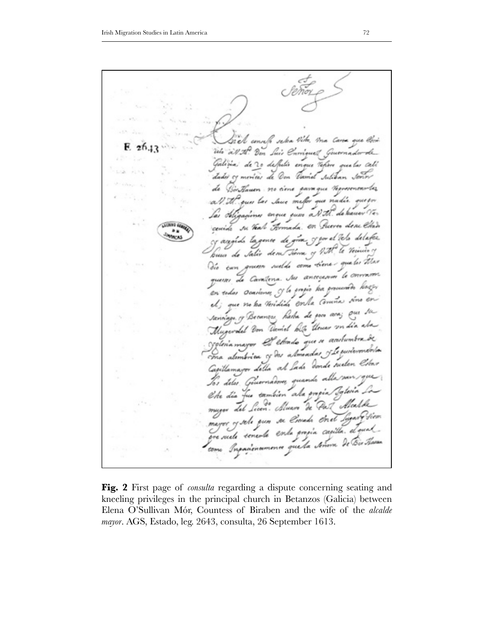"I concela selva Vila, ma Cana que livi ٠ ich all the Ven Suis Curriguet Governador de Galizia, de 20 de pelos enque tefino que las cali de Oon Varmel Suliban Ladei meritar de Birthauen no ciene gavaque Vegresencarles las Jace mefer que nadir. gue tor a.V.t.l. ouw enque suns a.V. T. de haver Ve. lai Aliaan **COSES** cenido su Teal Formada. en Puerto dece Chan **LUMBER** .. cy angido la genee de give y gor el telo delafer **DICAS** buna de salis dem Tierra y With le Veinier y Dio cun guine sueldo como tiene que los thas queres de Cavaterra. Au ancecenne le convenir. en endas ocasiones y la grazia ha grando hager el; que no ha Veridida en la Comina sino Sannings of Becauses hade de por ava; Que Mugerald Von Varial billy therear on dia ala ygleia mayor et etiado que n acutumbra de ma alembrica y des almendas y le punteron Capillamayor della al Lada Donde suelen Tos delos. Generandones quando alla Che dia fue también ala propia mayor Let Licon. Munn De Par Alcalde mayor of sele gun se Croade Enet Lugary Siem. que suele senerte ente grogia capita. el que Inpariencemente que la teñera de B. tome

**Fig. 2** First page of *consulta* regarding a dispute concerning seating and kneeling privileges in the principal church in Betanzos (Galicia) between Elena O'Sullivan Mór, Countess of Biraben and the wife of the *alcalde mayor*. AGS, Estado, leg. 2643, consulta, 26 September 1613.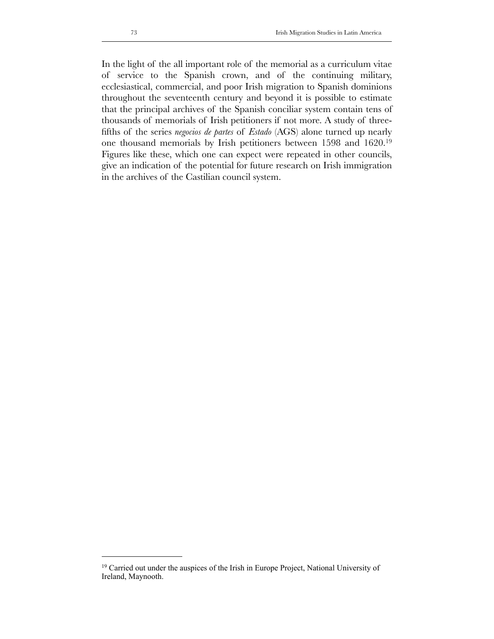In the light of the all important role of the memorial as a curriculum vitae of service to the Spanish crown, and of the continuing military, ecclesiastical, commercial, and poor Irish migration to Spanish dominions throughout the seventeenth century and beyond it is possible to estimate that the principal archives of the Spanish conciliar system contain tens of thousands of memorials of Irish petitioners if not more. A study of threefifths of the series *negocios de partes* of *Estado* (AGS) alone turned up nearly one thousand memorials by Irish petitioners between 1598 and 1620.[19](#page-12-0) Figures like these, which one can expect were repeated in other councils, give an indication of the potential for future research on Irish immigration in the archives of the Castilian council system.

<span id="page-12-0"></span><sup>&</sup>lt;sup>19</sup> Carried out under the auspices of the Irish in Europe Project, National University of Ireland, Maynooth.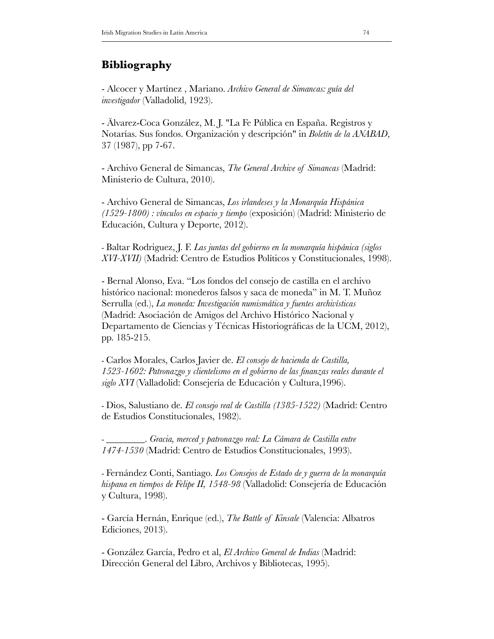## **Bibliography**

- Alcocer y Martínez , Mariano. *Archivo General de Simancas: guía del investigador* (Valladolid, 1923).

- Älvarez-Coca González, M. J. "La Fe Pública en España. Registros y Notarías. Sus fondos. Organización y descripción" in *Boletín de la ANABAD*, 37 (1987), pp 7-67.

- Archivo General de Simancas, *The General Archive of Simancas* (Madrid: Ministerio de Cultura, 2010).

- Archivo General de Simancas, *Los irlandeses y la Monarquía Hispánica (1529-1800) : vínculos en espacio y tiempo* (exposición) (Madrid: Ministerio de Educación, Cultura y Deporte, 2012).

- Baltar Rodriguez, J. F. *Las juntas del gobierno en la monarquía hispánica (siglos XVI-XVII)* (Madrid: Centro de Estudios Políticos y Constitucionales, 1998).

- Bernal Alonso, Eva. "Los fondos del consejo de castilla en el archivo histórico nacional: monederos falsos y saca de moneda" in M. T. Muñoz Serrulla (ed.), *La moneda: Investigación numismática y fuentes archivísticas*  (Madrid: Asociación de Amigos del Archivo Histórico Nacional y Departamento de Ciencias y Técnicas Historiográficas de la UCM, 2012), pp. 185-215.

- Carlos Morales, Carlos Javier de. *El consejo de hacienda de Castilla, 1523-1602: Patronazgo y clientelismo en el gobierno de las finanzas reales durante el siglo XVI* (Valladolid: Consejería de Educación y Cultura,1996).

- Dios, Salustiano de. *El consejo real de Castilla (1385-1522)* (Madrid: Centro de Estudios Constitucionales, 1982).

- \_\_\_\_\_\_\_\_. *Gracia, merced y patronazgo real: La Cámara de Castilla entre 1474-1530* (Madrid: Centro de Estudios Constitucionales, 1993).

- Fernández Conti, Santiago. *Los Consejos de Estado de y guerra de la monarquía hispana en tiempos de Felipe II, 1548-98* (Valladolid: Consejería de Educación y Cultura, 1998).

- García Hernán, Enrique (ed.), *The Battle of Kinsale* (Valencia: Albatros Ediciones, 2013).

- González García, Pedro et al, *El Archivo General de Indias* (Madrid: Dirección General del Libro, Archivos y Bibliotecas, 1995).